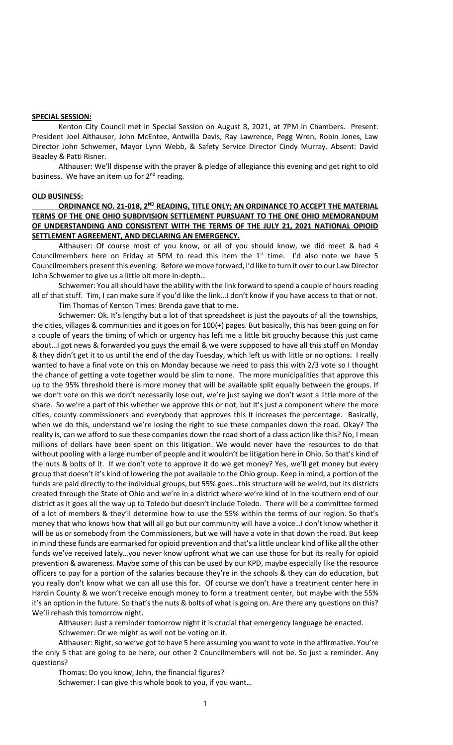## **SPECIAL SESSION:**

Kenton City Council met in Special Session on August 8, 2021, at 7PM in Chambers. Present: President Joel Althauser, John McEntee, Antwilla Davis, Ray Lawrence, Pegg Wren, Robin Jones, Law Director John Schwemer, Mayor Lynn Webb, & Safety Service Director Cindy Murray. Absent: David Beazley & Patti Risner.

Althauser: We'll dispense with the prayer & pledge of allegiance this evening and get right to old business. We have an item up for  $2<sup>nd</sup>$  reading.

## **OLD BUSINESS:**

## **ORDINANCE NO. 21-018, 2ND READING, TITLE ONLY; AN ORDINANCE TO ACCEPT THE MATERIAL TERMS OF THE ONE OHIO SUBDIVISION SETTLEMENT PURSUANT TO THE ONE OHIO MEMORANDUM OF UNDERSTANDING AND CONSISTENT WITH THE TERMS OF THE JULY 21, 2021 NATIONAL OPIOID SETTLEMENT AGREEMENT, AND DECLARING AN EMERGENCY.**

Althauser: Of course most of you know, or all of you should know, we did meet & had 4 Councilmembers here on Friday at 5PM to read this item the  $1<sup>st</sup>$  time. I'd also note we have 5 Councilmembers present this evening. Before we move forward, I'd like to turn it over to our Law Director John Schwemer to give us a little bit more in-depth…

Schwemer: You all should have the ability with the link forward to spend a couple of hours reading all of that stuff. Tim, I can make sure if you'd like the link…I don't know if you have access to that or not. Tim Thomas of Kenton Times: Brenda gave that to me.

Schwemer: Ok. It's lengthy but a lot of that spreadsheet is just the payouts of all the townships, the cities, villages & communities and it goes on for 100(+) pages. But basically, this has been going on for a couple of years the timing of which or urgency has left me a little bit grouchy because this just came about…I got news & forwarded you guys the email & we were supposed to have all this stuff on Monday & they didn't get it to us until the end of the day Tuesday, which left us with little or no options. I really wanted to have a final vote on this on Monday because we need to pass this with 2/3 vote so I thought the chance of getting a vote together would be slim to none. The more municipalities that approve this up to the 95% threshold there is more money that will be available split equally between the groups. If we don't vote on this we don't necessarily lose out, we're just saying we don't want a little more of the share. So we're a part of this whether we approve this or not, but it's just a component where the more cities, county commissioners and everybody that approves this it increases the percentage. Basically, when we do this, understand we're losing the right to sue these companies down the road. Okay? The reality is, can we afford to sue these companies down the road short of a class action like this? No, I mean millions of dollars have been spent on this litigation. We would never have the resources to do that without pooling with a large number of people and it wouldn't be litigation here in Ohio. So that's kind of the nuts & bolts of it. If we don't vote to approve it do we get money? Yes, we'll get money but every group that doesn't it's kind of lowering the pot available to the Ohio group. Keep in mind, a portion of the funds are paid directly to the individual groups, but 55% goes…this structure will be weird, but its districts created through the State of Ohio and we're in a district where we're kind of in the southern end of our district as it goes all the way up to Toledo but doesn't include Toledo. There will be a committee formed of a lot of members & they'll determine how to use the 55% within the terms of our region. So that's money that who knows how that will all go but our community will have a voice…I don't know whether it will be us or somebody from the Commissioners, but we will have a vote in that down the road. But keep in mind these funds are earmarked for opioid prevention and that's a little unclear kind of like all the other funds we've received lately…you never know upfront what we can use those for but its really for opioid prevention & awareness. Maybe some of this can be used by our KPD, maybe especially like the resource officers to pay for a portion of the salaries because they're in the schools & they can do education, but you really don't know what we can all use this for. Of course we don't have a treatment center here in Hardin County & we won't receive enough money to form a treatment center, but maybe with the 55% it's an option in the future. So that's the nuts & bolts of what is going on. Are there any questions on this? We'll rehash this tomorrow night.

Althauser: Just a reminder tomorrow night it is crucial that emergency language be enacted. Schwemer: Or we might as well not be voting on it.

Althauser: Right, so we've got to have 5 here assuming you want to vote in the affirmative. You're the only 5 that are going to be here, our other 2 Councilmembers will not be. So just a reminder. Any questions?

Thomas: Do you know, John, the financial figures? Schwemer: I can give this whole book to you, if you want…